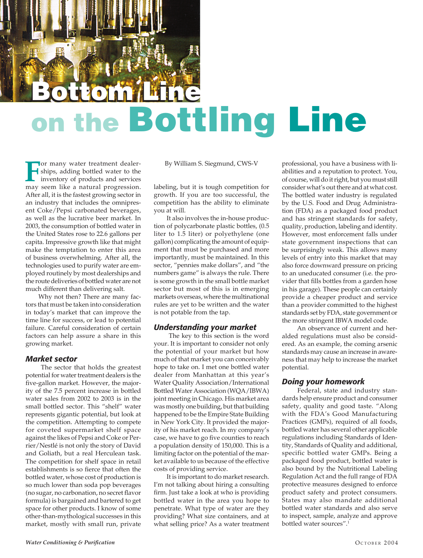# Bottom Line **Bottom Line** on the Bottling Line

**For many water treatment dealer-**<br>ships, adding bottled water to the<br>inventory of products and services<br>may seem like a natural progression ships, adding bottled water to the may seem like a natural progression. After all, it is the fastest growing sector in an industry that includes the omnipresent Coke/Pepsi carbonated beverages, as well as the lucrative beer market. In 2003, the consumption of bottled water in the United States rose to 22.6 gallons per capita. Impressive growth like that might make the temptation to enter this area of business overwhelming. After all, the technologies used to purify water are employed routinely by most dealerships and the route deliveries of bottled water are not much different than delivering salt.

Why not then? There are many factors that must be taken into consideration in today's market that can improve the time line for success, or lead to potential failure. Careful consideration of certain factors can help assure a share in this growing market.

## *Market sector*

 The sector that holds the greatest potential for water treatment dealers is the five-gallon market. However, the majority of the 7.5 percent increase in bottled water sales from 2002 to 2003 is in the small bottled sector. This "shelf" water represents gigantic potential, but look at the competition. Attempting to compete for coveted supermarket shelf space against the likes of Pepsi and Coke or Perrier/Nestlé is not only the story of David and Goliath, but a real Herculean task. The competition for shelf space in retail establishments is so fierce that often the bottled water, whose cost of production is so much lower than soda pop beverages (no sugar, no carbonation, no secret flavor formula) is bargained and bartered to get space for other products. I know of some other-than-mythological successes in this market, mostly with small run, private

By William S. Siegmund, CWS-V

labeling, but it is tough competition for growth. If you are too successful, the competition has the ability to eliminate you at will.

It also involves the in-house production of polycarbonate plastic bottles, (0.5 liter to 1.5 liter) or polyethylene (one gallon) complicating the amount of equipment that must be purchased and more importantly, must be maintained. In this sector, "pennies make dollars", and "the numbers game" is always the rule. There is some growth in the small bottle market sector but most of this is in emerging markets overseas, where the multinational rules are yet to be written and the water is not potable from the tap.

## *Understanding your market*

 The key to this section is the word your. It is important to consider not only the potential of your market but how much of that market you can conceivably hope to take on. I met one bottled water dealer from Manhattan at this year's Water Quality Association/International Bottled Water Association (WQA/IBWA) joint meeting in Chicago. His market area was mostly one building, but that building happened to be the Empire State Building in New York City. It provided the majority of his market reach. In my company's case, we have to go five counties to reach a population density of 150,000. This is a limiting factor on the potential of the market available to us because of the effective costs of providing service.

It is important to do market research. I'm not talking about hiring a consulting firm. Just take a look at who is providing bottled water in the area you hope to penetrate. What type of water are they providing? What size containers, and at what selling price? As a water treatment professional, you have a business with liabilities and a reputation to protect. You, of course, will do it right, but you must still consider what's out there and at what cost. The bottled water industry is regulated by the U.S. Food and Drug Administration (FDA) as a packaged food product and has stringent standards for safety, quality, production, labeling and identity. However, most enforcement falls under state government inspections that can be surprisingly weak. This allows many levels of entry into this market that may also force downward pressure on pricing to an uneducated consumer (i.e. the provider that fills bottles from a garden hose in his garage). These people can certainly provide a cheaper product and service than a provider committed to the highest standards set by FDA, state government or the more stringent IBWA model code.

 An observance of current and heralded regulations must also be considered. As an example, the coming arsenic standards may cause an increase in awareness that may help to increase the market potential.

## *Doing your homework*

 Federal, state and industry standards help ensure product and consumer safety, quality and good taste. "Along with the FDA's Good Manufacturing Practices (GMPs), required of all foods, bottled water has several other applicable regulations including Standards of Identity, Standards of Quality and additional, specific bottled water GMPs. Being a packaged food product, bottled water is also bound by the Nutritional Labeling Regulation Act and the full range of FDA protective measures designed to enforce product safety and protect consumers. States may also mandate additional bottled water standards and also serve to inspect, sample, analyze and approve bottled water sources".1